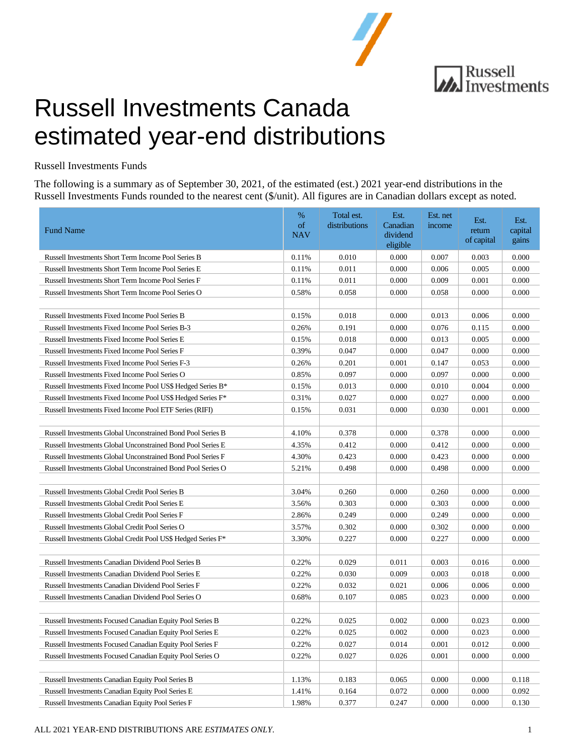

# **MA** Russell<br>Ma Investments

## Russell Investments Canada estimated year-end distributions

Russell Investments Funds

The following is a summary as of September 30, 2021, of the estimated (est.) 2021 year-end distributions in the Russell Investments Funds rounded to the nearest cent (\$/unit). All figures are in Canadian dollars except as noted.

| <b>Fund Name</b>                                                         | $\%$<br>of<br><b>NAV</b> | Total est.<br>distributions | Est.<br>Canadian<br>dividend<br>eligible | Est. net<br>income | Est.<br>return<br>of capital | Est.<br>capital<br>gains |
|--------------------------------------------------------------------------|--------------------------|-----------------------------|------------------------------------------|--------------------|------------------------------|--------------------------|
| Russell Investments Short Term Income Pool Series B                      | 0.11%                    | 0.010                       | 0.000                                    | 0.007              | 0.003                        | 0.000                    |
| Russell Investments Short Term Income Pool Series E                      | 0.11%                    | 0.011                       | 0.000                                    | 0.006              | 0.005                        | 0.000                    |
| Russell Investments Short Term Income Pool Series F                      | 0.11%                    | 0.011                       | 0.000                                    | 0.009              | 0.001                        | 0.000                    |
| Russell Investments Short Term Income Pool Series O                      | 0.58%                    | 0.058                       | 0.000                                    | 0.058              | 0.000                        | 0.000                    |
|                                                                          |                          |                             |                                          |                    |                              |                          |
| Russell Investments Fixed Income Pool Series B                           | 0.15%                    | 0.018                       | 0.000                                    | 0.013              | 0.006                        | 0.000                    |
| Russell Investments Fixed Income Pool Series B-3                         | 0.26%                    | 0.191                       | 0.000                                    | 0.076              | 0.115                        | 0.000                    |
| Russell Investments Fixed Income Pool Series E                           | 0.15%                    | 0.018                       | 0.000                                    | 0.013              | 0.005                        | 0.000                    |
| Russell Investments Fixed Income Pool Series F                           | 0.39%                    | 0.047                       | 0.000                                    | 0.047              | 0.000                        | 0.000                    |
| Russell Investments Fixed Income Pool Series F-3                         | 0.26%                    | 0.201                       | 0.001                                    | 0.147              | 0.053                        | 0.000                    |
| Russell Investments Fixed Income Pool Series O                           | 0.85%                    | 0.097                       | 0.000                                    | 0.097              | 0.000                        | 0.000                    |
| Russell Investments Fixed Income Pool US\$ Hedged Series B*              | 0.15%                    | 0.013                       | 0.000                                    | 0.010              | 0.004                        | 0.000                    |
| Russell Investments Fixed Income Pool US\$ Hedged Series F*              | 0.31%                    | 0.027                       | 0.000                                    | 0.027              | 0.000                        | 0.000                    |
| Russell Investments Fixed Income Pool ETF Series (RIFI)                  | 0.15%                    | 0.031                       | 0.000                                    | 0.030              | 0.001                        | 0.000                    |
|                                                                          |                          |                             |                                          |                    |                              |                          |
| Russell Investments Global Unconstrained Bond Pool Series B              | 4.10%                    | 0.378                       | 0.000                                    | 0.378              | 0.000                        | 0.000                    |
| Russell Investments Global Unconstrained Bond Pool Series E              | 4.35%                    | 0.412                       | 0.000                                    | 0.412              | 0.000                        | 0.000                    |
| Russell Investments Global Unconstrained Bond Pool Series F              | 4.30%                    | 0.423                       | 0.000                                    | 0.423              | 0.000                        | 0.000                    |
| Russell Investments Global Unconstrained Bond Pool Series O              | 5.21%                    | 0.498                       | 0.000                                    | 0.498              | 0.000                        | 0.000                    |
|                                                                          |                          |                             |                                          |                    |                              |                          |
| Russell Investments Global Credit Pool Series B                          | 3.04%                    | 0.260                       | 0.000                                    | 0.260              | 0.000                        | 0.000                    |
| Russell Investments Global Credit Pool Series E                          | 3.56%                    | 0.303                       | 0.000                                    | 0.303              | 0.000                        | 0.000                    |
| Russell Investments Global Credit Pool Series F                          | 2.86%                    | 0.249                       | 0.000                                    | 0.249              | 0.000                        | 0.000                    |
| Russell Investments Global Credit Pool Series O                          | 3.57%                    | 0.302                       | 0.000                                    | 0.302              | 0.000                        | 0.000                    |
| Russell Investments Global Credit Pool US\$ Hedged Series F <sup>*</sup> | 3.30%                    | 0.227                       | 0.000                                    | 0.227              | 0.000                        | 0.000                    |
|                                                                          |                          |                             |                                          |                    |                              |                          |
| Russell Investments Canadian Dividend Pool Series B                      | 0.22%                    | 0.029                       | 0.011                                    | 0.003              | 0.016                        | 0.000                    |
| Russell Investments Canadian Dividend Pool Series E                      | 0.22%                    | 0.030                       | 0.009                                    | 0.003              | 0.018                        | 0.000                    |
| Russell Investments Canadian Dividend Pool Series F                      | 0.22%                    | 0.032                       | 0.021                                    | 0.006              | 0.006                        | 0.000                    |
| Russell Investments Canadian Dividend Pool Series O                      | 0.68%                    | 0.107                       | 0.085                                    | 0.023              | 0.000                        | 0.000                    |
|                                                                          |                          |                             |                                          |                    |                              |                          |
| Russell Investments Focused Canadian Equity Pool Series B                | 0.22%                    | 0.025                       | 0.002                                    | 0.000              | 0.023                        | 0.000                    |
| Russell Investments Focused Canadian Equity Pool Series E                | 0.22%                    | 0.025                       | 0.002                                    | 0.000              | 0.023                        | 0.000                    |
| Russell Investments Focused Canadian Equity Pool Series F                | 0.22%                    | 0.027                       | 0.014                                    | 0.001              | 0.012                        | 0.000                    |
| Russell Investments Focused Canadian Equity Pool Series O                | 0.22%                    | 0.027                       | 0.026                                    | 0.001              | 0.000                        | 0.000                    |
|                                                                          |                          |                             |                                          |                    |                              |                          |
| Russell Investments Canadian Equity Pool Series B                        | 1.13%                    | 0.183                       | 0.065                                    | 0.000              | 0.000                        | 0.118                    |
| Russell Investments Canadian Equity Pool Series E                        | 1.41%                    | 0.164                       | 0.072                                    | 0.000              | 0.000                        | 0.092                    |
| Russell Investments Canadian Equity Pool Series F                        | 1.98%                    | 0.377                       | 0.247                                    | 0.000              | 0.000                        | 0.130                    |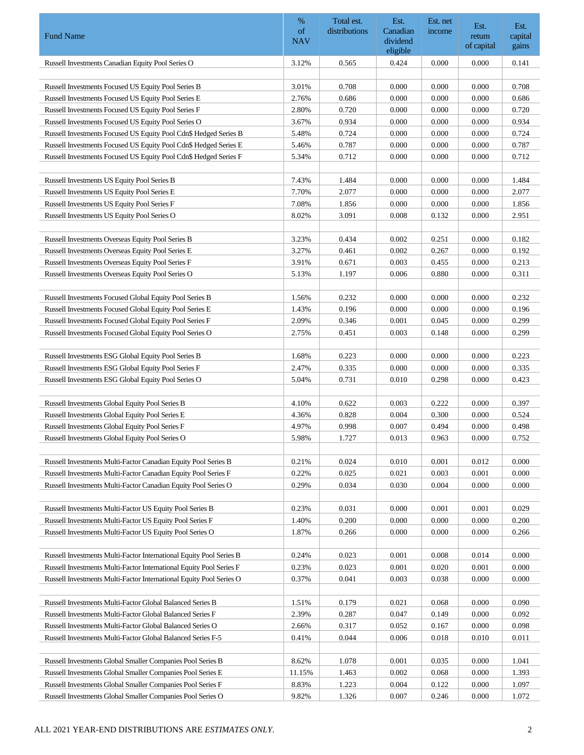|                                                                     | %          | Total est.    | Est.                 | Est. net | Est.       | Est.    |
|---------------------------------------------------------------------|------------|---------------|----------------------|----------|------------|---------|
| <b>Fund Name</b>                                                    | of         | distributions | Canadian             | income   | return     | capital |
|                                                                     | <b>NAV</b> |               | dividend<br>eligible |          | of capital | gains   |
| Russell Investments Canadian Equity Pool Series O                   | 3.12%      | 0.565         | 0.424                | 0.000    | 0.000      | 0.141   |
|                                                                     |            |               |                      |          |            |         |
| Russell Investments Focused US Equity Pool Series B                 | 3.01%      | 0.708         | 0.000                | 0.000    | 0.000      | 0.708   |
| Russell Investments Focused US Equity Pool Series E                 | 2.76%      | 0.686         | 0.000                | 0.000    | 0.000      | 0.686   |
| Russell Investments Focused US Equity Pool Series F                 | 2.80%      | 0.720         | 0.000                | 0.000    | 0.000      | 0.720   |
| Russell Investments Focused US Equity Pool Series O                 | 3.67%      | 0.934         | 0.000                | 0.000    | 0.000      | 0.934   |
| Russell Investments Focused US Equity Pool Cdn\$ Hedged Series B    | 5.48%      | 0.724         | 0.000                | 0.000    | 0.000      | 0.724   |
| Russell Investments Focused US Equity Pool Cdn\$ Hedged Series E    | 5.46%      | 0.787         | 0.000                | 0.000    | 0.000      | 0.787   |
| Russell Investments Focused US Equity Pool Cdn\$ Hedged Series F    | 5.34%      | 0.712         | 0.000                | 0.000    | 0.000      | 0.712   |
|                                                                     |            |               |                      |          |            |         |
| Russell Investments US Equity Pool Series B                         | 7.43%      | 1.484         | 0.000                | 0.000    | 0.000      | 1.484   |
| Russell Investments US Equity Pool Series E                         | 7.70%      | 2.077         | 0.000                | 0.000    | 0.000      | 2.077   |
| Russell Investments US Equity Pool Series F                         | 7.08%      | 1.856         | 0.000                | 0.000    | 0.000      | 1.856   |
| Russell Investments US Equity Pool Series O                         | 8.02%      | 3.091         | 0.008                | 0.132    | 0.000      | 2.951   |
|                                                                     |            |               |                      |          |            |         |
| Russell Investments Overseas Equity Pool Series B                   | 3.23%      | 0.434         | 0.002                | 0.251    | 0.000      | 0.182   |
| Russell Investments Overseas Equity Pool Series E                   | 3.27%      | 0.461         | 0.002                | 0.267    | 0.000      | 0.192   |
| Russell Investments Overseas Equity Pool Series F                   | 3.91%      | 0.671         | 0.003                | 0.455    | 0.000      | 0.213   |
| Russell Investments Overseas Equity Pool Series O                   | 5.13%      | 1.197         | 0.006                | 0.880    | 0.000      | 0.311   |
| Russell Investments Focused Global Equity Pool Series B             | 1.56%      | 0.232         | 0.000                | 0.000    | 0.000      | 0.232   |
| Russell Investments Focused Global Equity Pool Series E             | 1.43%      | 0.196         | 0.000                | 0.000    | 0.000      | 0.196   |
| Russell Investments Focused Global Equity Pool Series F             | 2.09%      | 0.346         | 0.001                | 0.045    | 0.000      | 0.299   |
| Russell Investments Focused Global Equity Pool Series O             | 2.75%      | 0.451         | 0.003                | 0.148    | 0.000      | 0.299   |
|                                                                     |            |               |                      |          |            |         |
| Russell Investments ESG Global Equity Pool Series B                 | 1.68%      | 0.223         | 0.000                | 0.000    | 0.000      | 0.223   |
| Russell Investments ESG Global Equity Pool Series F                 | 2.47%      | 0.335         | 0.000                | 0.000    | 0.000      | 0.335   |
| Russell Investments ESG Global Equity Pool Series O                 | 5.04%      | 0.731         | 0.010                | 0.298    | 0.000      | 0.423   |
|                                                                     |            |               |                      |          |            |         |
| Russell Investments Global Equity Pool Series B                     | 4.10%      | 0.622         | 0.003                | 0.222    | 0.000      | 0.397   |
| Russell Investments Global Equity Pool Series E                     | 4.36%      | 0.828         | 0.004                | 0.300    | 0.000      | 0.524   |
| Russell Investments Global Equity Pool Series F                     | 4.97%      | 0.998         | 0.007                | 0.494    | 0.000      | 0.498   |
| Russell Investments Global Equity Pool Series O                     | 5.98%      | 1.727         | 0.013                | 0.963    | 0.000      | 0.752   |
|                                                                     |            |               |                      |          |            |         |
| Russell Investments Multi-Factor Canadian Equity Pool Series B      | 0.21%      | 0.024         | 0.010                | 0.001    | 0.012      | 0.000   |
| Russell Investments Multi-Factor Canadian Equity Pool Series F      | 0.22%      | 0.025         | 0.021                | 0.003    | 0.001      | 0.000   |
| Russell Investments Multi-Factor Canadian Equity Pool Series O      | 0.29%      | 0.034         | 0.030                | 0.004    | 0.000      | 0.000   |
|                                                                     |            |               |                      |          |            |         |
| Russell Investments Multi-Factor US Equity Pool Series B            | 0.23%      | 0.031         | 0.000                | 0.001    | 0.001      | 0.029   |
| Russell Investments Multi-Factor US Equity Pool Series F            | 1.40%      | 0.200         | 0.000                | 0.000    | 0.000      | 0.200   |
| Russell Investments Multi-Factor US Equity Pool Series O            | 1.87%      | 0.266         | 0.000                | 0.000    | 0.000      | 0.266   |
| Russell Investments Multi-Factor International Equity Pool Series B | 0.24%      | 0.023         | 0.001                | 0.008    | 0.014      | 0.000   |
| Russell Investments Multi-Factor International Equity Pool Series F | 0.23%      | 0.023         | 0.001                | 0.020    | 0.001      | 0.000   |
| Russell Investments Multi-Factor International Equity Pool Series O | 0.37%      | 0.041         | 0.003                | 0.038    | 0.000      | 0.000   |
|                                                                     |            |               |                      |          |            |         |
| Russell Investments Multi-Factor Global Balanced Series B           | 1.51%      | 0.179         | 0.021                | 0.068    | 0.000      | 0.090   |
| Russell Investments Multi-Factor Global Balanced Series F           | 2.39%      | 0.287         | 0.047                | 0.149    | 0.000      | 0.092   |
| Russell Investments Multi-Factor Global Balanced Series O           | 2.66%      | 0.317         | 0.052                | 0.167    | 0.000      | 0.098   |
| Russell Investments Multi-Factor Global Balanced Series F-5         | 0.41%      | 0.044         | 0.006                | 0.018    | 0.010      | 0.011   |
|                                                                     |            |               |                      |          |            |         |
| Russell Investments Global Smaller Companies Pool Series B          | 8.62%      | 1.078         | 0.001                | 0.035    | 0.000      | 1.041   |
| Russell Investments Global Smaller Companies Pool Series E          | 11.15%     | 1.463         | 0.002                | 0.068    | 0.000      | 1.393   |
| Russell Investments Global Smaller Companies Pool Series F          | 8.83%      | 1.223         | 0.004                | 0.122    | 0.000      | 1.097   |
| Russell Investments Global Smaller Companies Pool Series O          | 9.82%      | 1.326         | 0.007                | 0.246    | 0.000      | 1.072   |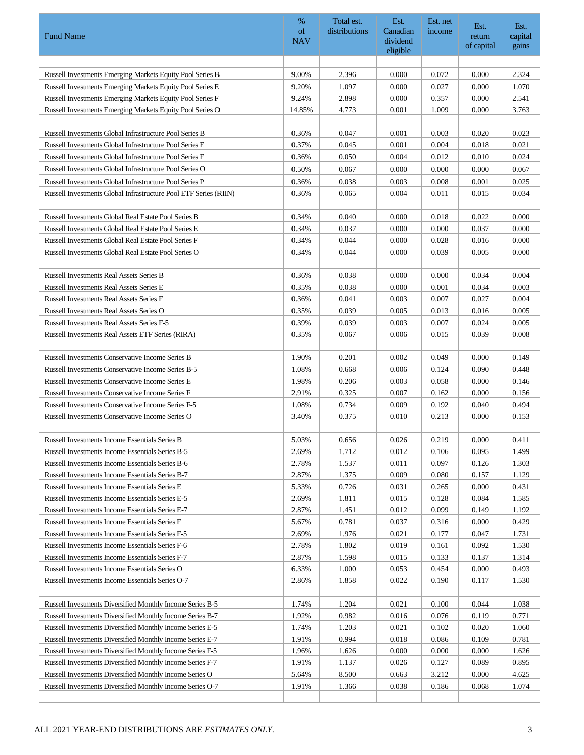|                                                                                             | $\%$<br>of     | Total est.<br>distributions | Est.<br>Canadian | Est. net<br>income | Est.                 | Est.             |
|---------------------------------------------------------------------------------------------|----------------|-----------------------------|------------------|--------------------|----------------------|------------------|
| <b>Fund Name</b>                                                                            | <b>NAV</b>     |                             | dividend         |                    | return<br>of capital | capital<br>gains |
|                                                                                             |                |                             | eligible         |                    |                      |                  |
| Russell Investments Emerging Markets Equity Pool Series B                                   | 9.00%          | 2.396                       | 0.000            | 0.072              | 0.000                | 2.324            |
| Russell Investments Emerging Markets Equity Pool Series E                                   | 9.20%          | 1.097                       | 0.000            | 0.027              | 0.000                | 1.070            |
| Russell Investments Emerging Markets Equity Pool Series F                                   | 9.24%          | 2.898                       | 0.000            | 0.357              | 0.000                | 2.541            |
| Russell Investments Emerging Markets Equity Pool Series O                                   | 14.85%         | 4.773                       | 0.001            | 1.009              | 0.000                | 3.763            |
|                                                                                             |                |                             |                  |                    |                      |                  |
| Russell Investments Global Infrastructure Pool Series B                                     | 0.36%          | 0.047                       | 0.001            | 0.003              | 0.020                | 0.023            |
| Russell Investments Global Infrastructure Pool Series E                                     | 0.37%          | 0.045                       | 0.001            | 0.004              | 0.018                | 0.021            |
| Russell Investments Global Infrastructure Pool Series F                                     | 0.36%          | 0.050                       | 0.004            | 0.012              | 0.010                | 0.024            |
| Russell Investments Global Infrastructure Pool Series O                                     | 0.50%          | 0.067                       | 0.000            | 0.000              | 0.000                | 0.067            |
| Russell Investments Global Infrastructure Pool Series P                                     | 0.36%          | 0.038                       | 0.003            | 0.008              | 0.001                | 0.025            |
| Russell Investments Global Infrastructure Pool ETF Series (RIIN)                            | 0.36%          | 0.065                       | 0.004            | 0.011              | 0.015                | 0.034            |
|                                                                                             |                |                             |                  |                    |                      |                  |
| Russell Investments Global Real Estate Pool Series B                                        | 0.34%          | 0.040                       | 0.000            | 0.018              | 0.022                | 0.000            |
| Russell Investments Global Real Estate Pool Series E                                        | 0.34%          | 0.037                       | 0.000            | 0.000              | 0.037                | 0.000            |
| Russell Investments Global Real Estate Pool Series F                                        | 0.34%          | 0.044                       | 0.000            | 0.028              | 0.016                | 0.000            |
| Russell Investments Global Real Estate Pool Series O                                        | 0.34%          | 0.044                       | 0.000            | 0.039              | 0.005                | 0.000            |
|                                                                                             |                |                             |                  |                    |                      |                  |
| <b>Russell Investments Real Assets Series B</b>                                             | 0.36%          | 0.038                       | 0.000            | 0.000              | 0.034                | 0.004            |
| <b>Russell Investments Real Assets Series E</b>                                             | 0.35%          | 0.038<br>0.041              | 0.000<br>0.003   | 0.001              | 0.034                | 0.003<br>0.004   |
| <b>Russell Investments Real Assets Series F</b><br>Russell Investments Real Assets Series O | 0.36%<br>0.35% | 0.039                       | 0.005            | 0.007<br>0.013     | 0.027<br>0.016       | 0.005            |
| Russell Investments Real Assets Series F-5                                                  | 0.39%          | 0.039                       | 0.003            | 0.007              | 0.024                | 0.005            |
| Russell Investments Real Assets ETF Series (RIRA)                                           | 0.35%          | 0.067                       | 0.006            | 0.015              | 0.039                | 0.008            |
|                                                                                             |                |                             |                  |                    |                      |                  |
| <b>Russell Investments Conservative Income Series B</b>                                     | 1.90%          | 0.201                       | 0.002            | 0.049              | 0.000                | 0.149            |
| <b>Russell Investments Conservative Income Series B-5</b>                                   | 1.08%          | 0.668                       | 0.006            | 0.124              | 0.090                | 0.448            |
| <b>Russell Investments Conservative Income Series E</b>                                     | 1.98%          | 0.206                       | 0.003            | 0.058              | 0.000                | 0.146            |
| Russell Investments Conservative Income Series F                                            | 2.91%          | 0.325                       | 0.007            | 0.162              | 0.000                | 0.156            |
| Russell Investments Conservative Income Series F-5                                          | 1.08%          | 0.734                       | 0.009            | 0.192              | 0.040                | 0.494            |
| Russell Investments Conservative Income Series O                                            | 3.40%          | 0.375                       | 0.010            | 0.213              | 0.000                | 0.153            |
|                                                                                             |                |                             |                  |                    |                      |                  |
| Russell Investments Income Essentials Series B                                              | 5.03%          | 0.656                       | 0.026            | 0.219              | 0.000                | 0.411            |
| Russell Investments Income Essentials Series B-5                                            | 2.69%          | 1.712                       | 0.012            | 0.106              | 0.095                | 1.499            |
| Russell Investments Income Essentials Series B-6                                            | 2.78%          | 1.537                       | 0.011            | 0.097              | 0.126                | 1.303            |
| Russell Investments Income Essentials Series B-7                                            | 2.87%          | 1.375                       | 0.009            | 0.080              | 0.157                | 1.129            |
| Russell Investments Income Essentials Series E                                              | 5.33%          | 0.726                       | 0.031            | 0.265              | 0.000                | 0.431            |
| Russell Investments Income Essentials Series E-5                                            | 2.69%          | 1.811                       | 0.015            | 0.128              | 0.084                | 1.585            |
| Russell Investments Income Essentials Series E-7                                            | 2.87%          | 1.451                       | 0.012            | 0.099              | 0.149                | 1.192            |
| Russell Investments Income Essentials Series F                                              | 5.67%          | 0.781                       | 0.037            | 0.316              | 0.000                | 0.429            |
| Russell Investments Income Essentials Series F-5                                            | 2.69%          | 1.976                       | 0.021            | 0.177              | 0.047                | 1.731            |
| Russell Investments Income Essentials Series F-6                                            | 2.78%          | 1.802                       | 0.019            | 0.161              | 0.092                | 1.530            |
| Russell Investments Income Essentials Series F-7                                            | 2.87%          | 1.598                       | 0.015            | 0.133              | 0.137                | 1.314            |
| Russell Investments Income Essentials Series O                                              | 6.33%          | 1.000                       | 0.053            | 0.454              | 0.000                | 0.493            |
| Russell Investments Income Essentials Series O-7                                            | 2.86%          | 1.858                       | 0.022            | 0.190              | 0.117                | 1.530            |
| Russell Investments Diversified Monthly Income Series B-5                                   | 1.74%          | 1.204                       | 0.021            | 0.100              | 0.044                | 1.038            |
| Russell Investments Diversified Monthly Income Series B-7                                   | 1.92%          | 0.982                       | 0.016            | 0.076              | 0.119                | 0.771            |
| Russell Investments Diversified Monthly Income Series E-5                                   | 1.74%          | 1.203                       | 0.021            | 0.102              | 0.020                | 1.060            |
| Russell Investments Diversified Monthly Income Series E-7                                   | 1.91%          | 0.994                       | 0.018            | 0.086              | 0.109                | 0.781            |
| Russell Investments Diversified Monthly Income Series F-5                                   | 1.96%          | 1.626                       | 0.000            | 0.000              | 0.000                | 1.626            |
| Russell Investments Diversified Monthly Income Series F-7                                   | 1.91%          | 1.137                       | 0.026            | 0.127              | 0.089                | 0.895            |
| Russell Investments Diversified Monthly Income Series O                                     | 5.64%          | 8.500                       | 0.663            | 3.212              | 0.000                | 4.625            |
| Russell Investments Diversified Monthly Income Series O-7                                   | 1.91%          | 1.366                       | 0.038            | 0.186              | 0.068                | 1.074            |
|                                                                                             |                |                             |                  |                    |                      |                  |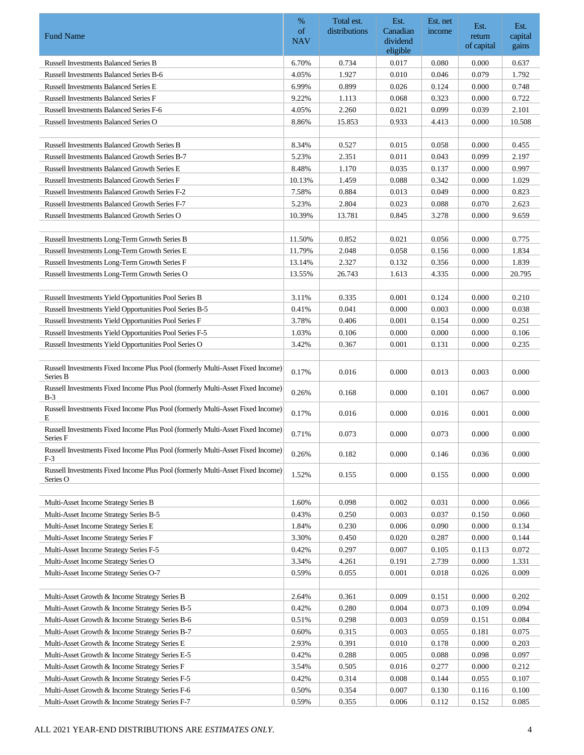|                                                                                            | $\%$             | Total est.    | Est.                 | Est. net | Est.       | Est.    |
|--------------------------------------------------------------------------------------------|------------------|---------------|----------------------|----------|------------|---------|
| <b>Fund Name</b>                                                                           | of<br><b>NAV</b> | distributions | Canadian<br>dividend | income   | return     | capital |
|                                                                                            |                  |               | eligible             |          | of capital | gains   |
| <b>Russell Investments Balanced Series B</b>                                               | 6.70%            | 0.734         | 0.017                | 0.080    | 0.000      | 0.637   |
| <b>Russell Investments Balanced Series B-6</b>                                             | 4.05%            | 1.927         | 0.010                | 0.046    | 0.079      | 1.792   |
| <b>Russell Investments Balanced Series E</b>                                               | 6.99%            | 0.899         | 0.026                | 0.124    | 0.000      | 0.748   |
| <b>Russell Investments Balanced Series F</b>                                               | 9.22%            | 1.113         | 0.068                | 0.323    | 0.000      | 0.722   |
| Russell Investments Balanced Series F-6                                                    | 4.05%            | 2.260         | 0.021                | 0.099    | 0.039      | 2.101   |
| <b>Russell Investments Balanced Series O</b>                                               | 8.86%            | 15.853        | 0.933                | 4.413    | 0.000      | 10.508  |
|                                                                                            |                  |               |                      |          |            |         |
| <b>Russell Investments Balanced Growth Series B</b>                                        | 8.34%            | 0.527         | 0.015                | 0.058    | 0.000      | 0.455   |
| <b>Russell Investments Balanced Growth Series B-7</b>                                      | 5.23%            | 2.351         | 0.011                | 0.043    | 0.099      | 2.197   |
| Russell Investments Balanced Growth Series E                                               | 8.48%            | 1.170         | 0.035                | 0.137    | 0.000      | 0.997   |
| Russell Investments Balanced Growth Series F                                               | 10.13%           | 1.459         | 0.088                | 0.342    | 0.000      | 1.029   |
| Russell Investments Balanced Growth Series F-2                                             | 7.58%            | 0.884         | 0.013                | 0.049    | 0.000      | 0.823   |
| Russell Investments Balanced Growth Series F-7                                             | 5.23%            | 2.804         | 0.023                | 0.088    | 0.070      | 2.623   |
| Russell Investments Balanced Growth Series O                                               | 10.39%           | 13.781        | 0.845                | 3.278    | 0.000      | 9.659   |
|                                                                                            |                  |               |                      |          |            |         |
| Russell Investments Long-Term Growth Series B                                              | 11.50%           | 0.852         | 0.021                | 0.056    | 0.000      | 0.775   |
| Russell Investments Long-Term Growth Series E                                              | 11.79%           | 2.048         | 0.058                | 0.156    | 0.000      | 1.834   |
| Russell Investments Long-Term Growth Series F                                              | 13.14%           | 2.327         | 0.132                | 0.356    | 0.000      | 1.839   |
| Russell Investments Long-Term Growth Series O                                              | 13.55%           | 26.743        | 1.613                | 4.335    | 0.000      | 20.795  |
|                                                                                            |                  |               |                      |          |            |         |
| Russell Investments Yield Opportunities Pool Series B                                      | 3.11%            | 0.335         | 0.001                | 0.124    | 0.000      | 0.210   |
| Russell Investments Yield Opportunities Pool Series B-5                                    | 0.41%            | 0.041         | 0.000                | 0.003    | 0.000      | 0.038   |
| Russell Investments Yield Opportunities Pool Series F                                      | 3.78%            | 0.406         | 0.001                | 0.154    | 0.000      | 0.251   |
| Russell Investments Yield Opportunities Pool Series F-5                                    | 1.03%            | 0.106         | 0.000                | 0.000    | 0.000      | 0.106   |
| Russell Investments Yield Opportunities Pool Series O                                      | 3.42%            | 0.367         | 0.001                | 0.131    | 0.000      | 0.235   |
|                                                                                            |                  |               |                      |          |            |         |
| Russell Investments Fixed Income Plus Pool (formerly Multi-Asset Fixed Income)<br>Series B | 0.17%            | 0.016         | 0.000                | 0.013    | 0.003      | 0.000   |
| Russell Investments Fixed Income Plus Pool (formerly Multi-Asset Fixed Income)<br>$B-3$    | 0.26%            | 0.168         | 0.000                | 0.101    | 0.067      | 0.000   |
| Russell Investments Fixed Income Plus Pool (formerly Multi-Asset Fixed Income)<br>E        | 0.17%            | 0.016         | 0.000                | 0.016    | 0.001      | 0.000   |
| Russell Investments Fixed Income Plus Pool (formerly Multi-Asset Fixed Income)<br>Series F | 0.71%            | 0.073         | 0.000                | 0.073    | 0.000      | 0.000   |
| Russell Investments Fixed Income Plus Pool (formerly Multi-Asset Fixed Income)<br>F-3      | 0.26%            | 0.182         | 0.000                | 0.146    | 0.036      | 0.000   |
| Russell Investments Fixed Income Plus Pool (formerly Multi-Asset Fixed Income)<br>Series O | 1.52%            | 0.155         | 0.000                | 0.155    | 0.000      | 0.000   |
| Multi-Asset Income Strategy Series B                                                       | 1.60%            | 0.098         | 0.002                | 0.031    | 0.000      | 0.066   |
| Multi-Asset Income Strategy Series B-5                                                     | 0.43%            | 0.250         | 0.003                | 0.037    | 0.150      | 0.060   |
| Multi-Asset Income Strategy Series E                                                       | 1.84%            | 0.230         | 0.006                | 0.090    | 0.000      | 0.134   |
| Multi-Asset Income Strategy Series F                                                       | 3.30%            | 0.450         | 0.020                | 0.287    | 0.000      | 0.144   |
| Multi-Asset Income Strategy Series F-5                                                     | 0.42%            | 0.297         | 0.007                | 0.105    | 0.113      | 0.072   |
| Multi-Asset Income Strategy Series O                                                       | 3.34%            | 4.261         | 0.191                | 2.739    | 0.000      | 1.331   |
| Multi-Asset Income Strategy Series O-7                                                     | 0.59%            | 0.055         | 0.001                | 0.018    | 0.026      | 0.009   |
|                                                                                            |                  |               |                      |          |            |         |
| Multi-Asset Growth & Income Strategy Series B                                              | 2.64%            | 0.361         | 0.009                | 0.151    | 0.000      | 0.202   |
| Multi-Asset Growth & Income Strategy Series B-5                                            | 0.42%            | 0.280         | 0.004                | 0.073    | 0.109      | 0.094   |
| Multi-Asset Growth & Income Strategy Series B-6                                            | 0.51%            | 0.298         | 0.003                | 0.059    | 0.151      | 0.084   |
| Multi-Asset Growth & Income Strategy Series B-7                                            | 0.60%            | 0.315         | 0.003                | 0.055    | 0.181      | 0.075   |
| Multi-Asset Growth & Income Strategy Series E                                              | 2.93%            | 0.391         | 0.010                | 0.178    | 0.000      | 0.203   |
| Multi-Asset Growth & Income Strategy Series E-5                                            | 0.42%            | 0.288         | 0.005                | 0.088    | 0.098      | 0.097   |
| Multi-Asset Growth & Income Strategy Series F                                              | 3.54%            | 0.505         | 0.016                | 0.277    | 0.000      | 0.212   |
| Multi-Asset Growth & Income Strategy Series F-5                                            | 0.42%            | 0.314         | 0.008                | 0.144    | 0.055      | 0.107   |
| Multi-Asset Growth & Income Strategy Series F-6                                            | 0.50%            | 0.354         | 0.007                | 0.130    | 0.116      | 0.100   |
| Multi-Asset Growth & Income Strategy Series F-7                                            | 0.59%            | 0.355         | 0.006                | 0.112    | 0.152      | 0.085   |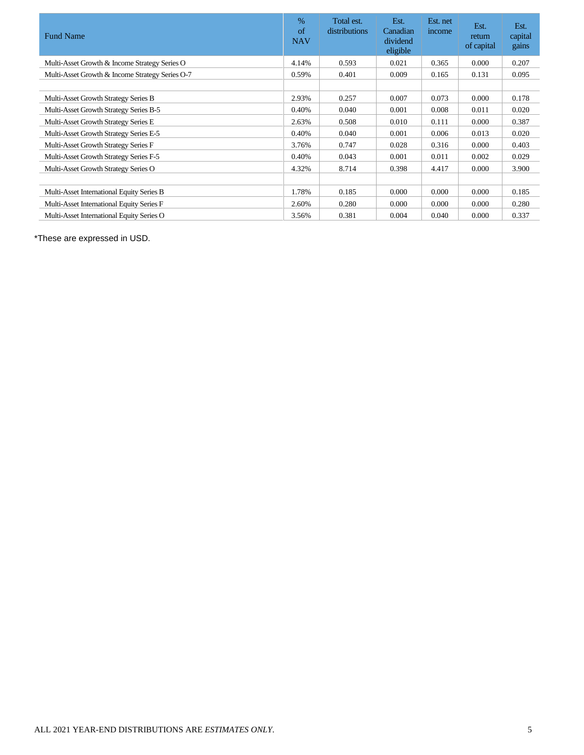| <b>Fund Name</b>                                | $\%$<br>of<br><b>NAV</b> | Total est.<br>distributions | Est.<br>Canadian<br>dividend<br>eligible | Est. net<br>income | Est.<br>return<br>of capital | Est.<br>capital<br>gains |
|-------------------------------------------------|--------------------------|-----------------------------|------------------------------------------|--------------------|------------------------------|--------------------------|
| Multi-Asset Growth & Income Strategy Series O   | 4.14%                    | 0.593                       | 0.021                                    | 0.365              | 0.000                        | 0.207                    |
| Multi-Asset Growth & Income Strategy Series O-7 | 0.59%                    | 0.401                       | 0.009                                    | 0.165              | 0.131                        | 0.095                    |
|                                                 |                          |                             |                                          |                    |                              |                          |
| Multi-Asset Growth Strategy Series B            | 2.93%                    | 0.257                       | 0.007                                    | 0.073              | 0.000                        | 0.178                    |
| Multi-Asset Growth Strategy Series B-5          | 0.40%                    | 0.040                       | 0.001                                    | 0.008              | 0.011                        | 0.020                    |
| Multi-Asset Growth Strategy Series E            | 2.63%                    | 0.508                       | 0.010                                    | 0.111              | 0.000                        | 0.387                    |
| Multi-Asset Growth Strategy Series E-5          | 0.40%                    | 0.040                       | 0.001                                    | 0.006              | 0.013                        | 0.020                    |
| Multi-Asset Growth Strategy Series F            | 3.76%                    | 0.747                       | 0.028                                    | 0.316              | 0.000                        | 0.403                    |
| Multi-Asset Growth Strategy Series F-5          | 0.40%                    | 0.043                       | 0.001                                    | 0.011              | 0.002                        | 0.029                    |
| Multi-Asset Growth Strategy Series O            | 4.32%                    | 8.714                       | 0.398                                    | 4.417              | 0.000                        | 3.900                    |
|                                                 |                          |                             |                                          |                    |                              |                          |
| Multi-Asset International Equity Series B       | 1.78%                    | 0.185                       | 0.000                                    | 0.000              | 0.000                        | 0.185                    |
| Multi-Asset International Equity Series F       | 2.60%                    | 0.280                       | 0.000                                    | 0.000              | 0.000                        | 0.280                    |
| Multi-Asset International Equity Series O       | 3.56%                    | 0.381                       | 0.004                                    | 0.040              | 0.000                        | 0.337                    |

\*These are expressed in USD.